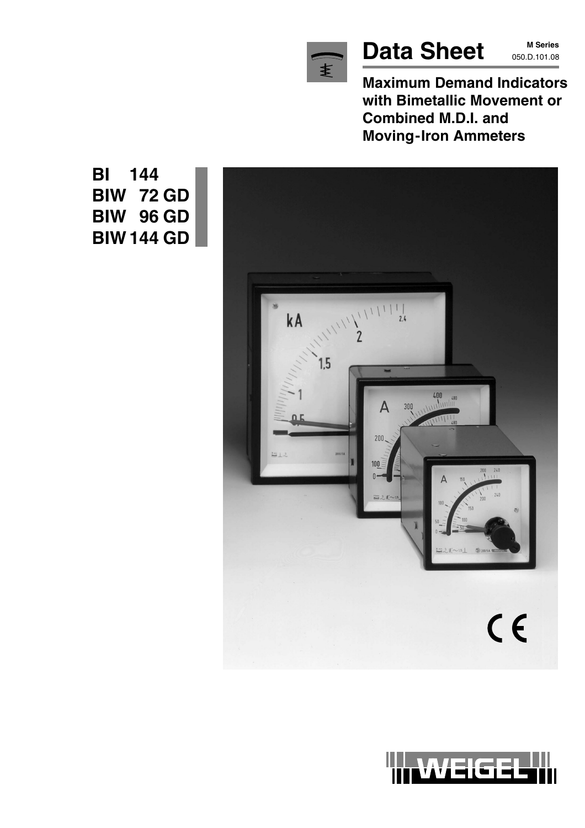

# Data Sheet MSeries

**M Series**

**Maximum Demand Indicators with Bimetallic Movement or Combined M.D.I. and Moving-Iron Ammeters**



WEIGEI

**BI 144 BIW 72 GD BIW 96 GD BIW 144 GD**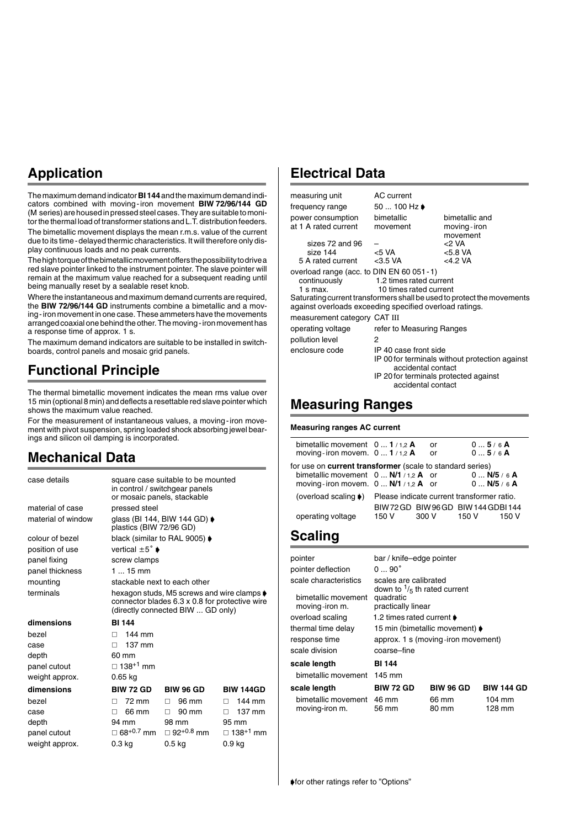## **Application**

The maximum demand indicator **BI 144** and the maximum demand indicators combined with moving-iron movement **BIW 72/96/144 GD** (M series) are housed in pressed steel cases. They are suitable to monitor the thermal load of transformer stations and L.T. distribution feeders.

The bimetallic movement displays the mean r.m.s. value of the current due to its time-delayed thermic characteristics. It will therefore only display continuous loads and no peak currents.

The high torque of the bimetallic movement offers the possibility to drive a red slave pointer linked to the instrument pointer. The slave pointer will remain at the maximum value reached for a subsequent reading until being manually reset by a sealable reset knob.

Where the instantaneous and maximum demand currents are required, the **BIW 72/96/144 GD** instruments combine a bimetallic and a moving-iron movement in one case. These ammeters have the movements arranged coaxial one behind the other. The moving-iron movement has a response time of approx. 1 s.

The maximum demand indicators are suitable to be installed in switchboards, control panels and mosaic grid panels.

## **Functional Principle**

The thermal bimetallic movement indicates the mean rms value over 15 min (optional 8 min) and deflects a resettable red slave pointer which shows the maximum value reached.

For the measurement of instantaneous values, a moving-iron movement with pivot suspension, spring loaded shock absorbing jewel bearings and silicon oil damping is incorporated.

### **Mechanical Data**

| case details       |                                                   | square case suitable to be mounted<br>in control / switchgear panels                                                                            |                             |
|--------------------|---------------------------------------------------|-------------------------------------------------------------------------------------------------------------------------------------------------|-----------------------------|
|                    | or mosaic panels, stackable                       |                                                                                                                                                 |                             |
| material of case   | pressed steel                                     |                                                                                                                                                 |                             |
| material of window | plastics (BIW 72/96 GD)                           | glass (BI 144, BIW 144 GD) ♦                                                                                                                    |                             |
| colour of bezel    | black (similar to RAL 9005) $\blacktriangleright$ |                                                                                                                                                 |                             |
| position of use    | vertical $\pm 5^{\circ}$ $\bullet$                |                                                                                                                                                 |                             |
| panel fixing       | screw clamps                                      |                                                                                                                                                 |                             |
| panel thickness    | $115$ mm                                          |                                                                                                                                                 |                             |
| mounting           | stackable next to each other                      |                                                                                                                                                 |                             |
| terminals          |                                                   | hexagon studs, M5 screws and wire clamps $\blacklozenge$<br>connector blades 6.3 x 0.8 for protective wire<br>(directly connected BIW  GD only) |                             |
| dimensions         | <b>BI 144</b>                                     |                                                                                                                                                 |                             |
| bezel              | 144 mm<br>П.                                      |                                                                                                                                                 |                             |
| case               | 137 mm<br>П.                                      |                                                                                                                                                 |                             |
| depth              | 60 mm                                             |                                                                                                                                                 |                             |
| panel cutout       | $\Box$ 138 <sup>+1</sup> mm                       |                                                                                                                                                 |                             |
| weight approx.     | 0.65 kg                                           |                                                                                                                                                 |                             |
| dimensions         | <b>BIW 72 GD</b>                                  | <b>BIW 96 GD</b>                                                                                                                                | <b>BIW 144GD</b>            |
| bezel              | 72 mm<br>п                                        | 96 mm<br>п                                                                                                                                      | 144 mm<br>П.                |
| case               | 66 mm<br>п                                        | 90 mm<br>П.                                                                                                                                     | $137 \text{ mm}$<br>П.      |
| depth              | 94 mm                                             | 98 mm                                                                                                                                           | 95 mm                       |
| panel cutout       | $\Box$ 68 <sup>+0.7</sup> mm                      | $\Box$ 92 <sup>+0.8</sup> mm                                                                                                                    | $\Box$ 138 <sup>+1</sup> mm |
| weight approx.     | 0.3 kg                                            | 0.5 <sub>kq</sub>                                                                                                                               | 0.9 kg                      |

#### **Electrical Data**

| measuring unit                                                                                                                                                                                                       | AC current                                                                                                                                                   |           |                                           |
|----------------------------------------------------------------------------------------------------------------------------------------------------------------------------------------------------------------------|--------------------------------------------------------------------------------------------------------------------------------------------------------------|-----------|-------------------------------------------|
| frequency range                                                                                                                                                                                                      | 50  100 Hz ♦                                                                                                                                                 |           |                                           |
| power consumption<br>at 1 A rated current                                                                                                                                                                            | bimetallic<br>movement                                                                                                                                       |           | bimetallic and<br>moving-iron<br>movement |
| sizes 72 and 96                                                                                                                                                                                                      |                                                                                                                                                              | $<$ 2 VA  |                                           |
| size 144                                                                                                                                                                                                             | < 5 VA                                                                                                                                                       | < 5.8 VA  |                                           |
| 5 A rated current                                                                                                                                                                                                    | $<$ 3.5 VA                                                                                                                                                   | $<4.2$ VA |                                           |
| overload range (acc. to DIN EN 60 051 - 1)<br>continuously<br>$1 \text{ s max}$<br>Saturating current transformers shall be used to protect the movements<br>against overloads exceeding specified overload ratings. | 1.2 times rated current<br>10 times rated current                                                                                                            |           |                                           |
| measurement category CAT III                                                                                                                                                                                         |                                                                                                                                                              |           |                                           |
| operating voltage                                                                                                                                                                                                    | refer to Measuring Ranges                                                                                                                                    |           |                                           |
| pollution level                                                                                                                                                                                                      | 2                                                                                                                                                            |           |                                           |
| enclosure code                                                                                                                                                                                                       | IP 40 case front side<br>IP 00 for terminals without protection against<br>accidental contact<br>IP 20 for terminals protected against<br>accidental contact |           |                                           |
| <b>Measuring Ranges</b>                                                                                                                                                                                              |                                                                                                                                                              |           |                                           |
| <b>Measuring ranges AC current</b>                                                                                                                                                                                   |                                                                                                                                                              |           |                                           |
| bimetallic movement $0 \dots 1/1.2$ A<br>moving-iron movem. $0 \dots 1/1,2$ A                                                                                                                                        |                                                                                                                                                              | or<br>or  | 05/6A<br>05/6A                            |
| $f_{\text{c}}$ , and the compact three of contract $f_{\text{c}}$ , the contract of the state of $\mathcal{N}$                                                                                                       |                                                                                                                                                              |           |                                           |
|                                                                                                                                                                                                                      |                                                                                                                                                              |           |                                           |

| for use on <b>current transformer</b> (scale to standard series) |       |                                            |               |       |
|------------------------------------------------------------------|-------|--------------------------------------------|---------------|-------|
| bimetallic movement $0 \dots N/1$ / 1,2 A or                     |       |                                            | $0$ N/5 / 6 A |       |
| moving-iron movem. $0 \dots N/1 / 1.2$ A or                      |       |                                            | $0$ N/5 / 6 A |       |
| (overload scaling ♦)                                             |       | Please indicate current transformer ratio. |               |       |
|                                                                  |       | BIW72GD BIW96GD BIW144GDBI144              |               |       |
| operating voltage                                                | 150 V | 300 V                                      | 150 V         | 150 V |

#### **Scaling**

| pointer                               | bar / knife-edge pointer                                        |                  |                   |
|---------------------------------------|-----------------------------------------------------------------|------------------|-------------------|
| pointer deflection                    | $090^\circ$                                                     |                  |                   |
| scale characteristics                 | scales are calibrated<br>down to $\frac{1}{5}$ th rated current |                  |                   |
| bimetallic movement<br>moving-iron m. | quadratic<br>practically linear                                 |                  |                   |
| overload scaling                      | 1.2 times rated current ♦                                       |                  |                   |
| thermal time delay                    | 15 min (bimetallic movement) ♦                                  |                  |                   |
| response time                         | approx. 1 s (moving-iron movement)                              |                  |                   |
| scale division                        | coarse-fine                                                     |                  |                   |
| scale length                          | <b>BI 144</b>                                                   |                  |                   |
| bimetallic movement                   | 145 mm                                                          |                  |                   |
| scale length                          | <b>BIW 72 GD</b>                                                | <b>BIW 96 GD</b> | <b>BIW 144 GD</b> |
| bimetallic movement<br>moving-iron m. | 46 mm<br>56 mm                                                  | 66 mm<br>80 mm   | 104 mm<br>128 mm  |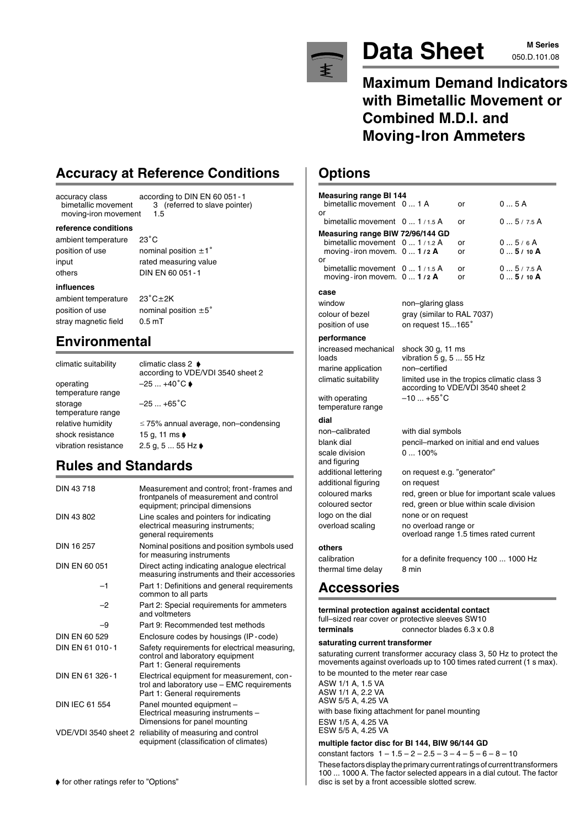

# Data Sheet M Series

# **M Series**

**Maximum Demand Indicators with Bimetallic Movement or Combined M.D.I. and Moving-Iron Ammeters**

### **Options**

| <b>Measuring range BI 144</b>                                                                                                                                                                                                                                                                                                             |                                                                                  |          |                                               |
|-------------------------------------------------------------------------------------------------------------------------------------------------------------------------------------------------------------------------------------------------------------------------------------------------------------------------------------------|----------------------------------------------------------------------------------|----------|-----------------------------------------------|
| bimetallic movement 0  1 A<br>or                                                                                                                                                                                                                                                                                                          |                                                                                  | or       | 0  5 A                                        |
| bimetallic movement                                                                                                                                                                                                                                                                                                                       | 01/1.5A                                                                          | or       | 05/7.5A                                       |
| Measuring range BIW 72/96/144 GD                                                                                                                                                                                                                                                                                                          |                                                                                  |          |                                               |
| bimetallic movement<br>moving-iron movem.                                                                                                                                                                                                                                                                                                 | 01/1.2A<br>01/2A                                                                 | or<br>or | 05/6A<br>$05/10$ A                            |
| or                                                                                                                                                                                                                                                                                                                                        |                                                                                  |          |                                               |
| bimetallic movement<br>moving-iron movem. 0  1/2 A                                                                                                                                                                                                                                                                                        | 01/1.5A                                                                          | or<br>or | 05/7.5A<br>05/10A                             |
| case                                                                                                                                                                                                                                                                                                                                      |                                                                                  |          |                                               |
| window                                                                                                                                                                                                                                                                                                                                    | non–glaring glass                                                                |          |                                               |
| colour of bezel<br>position of use                                                                                                                                                                                                                                                                                                        | gray (similar to RAL 7037)<br>on request 15165°                                  |          |                                               |
|                                                                                                                                                                                                                                                                                                                                           |                                                                                  |          |                                               |
| performance<br>increased mechanical                                                                                                                                                                                                                                                                                                       |                                                                                  |          |                                               |
| loads                                                                                                                                                                                                                                                                                                                                     | shock 30 g, 11 ms<br>vibration 5 g, $555$ Hz                                     |          |                                               |
| marine application                                                                                                                                                                                                                                                                                                                        | non-certified                                                                    |          |                                               |
| climatic suitability                                                                                                                                                                                                                                                                                                                      | limited use in the tropics climatic class 3<br>according to VDE/VDI 3540 sheet 2 |          |                                               |
| with operating<br>temperature range                                                                                                                                                                                                                                                                                                       | $-10+55^{\circ}C$                                                                |          |                                               |
| dial                                                                                                                                                                                                                                                                                                                                      |                                                                                  |          |                                               |
| non-calibrated                                                                                                                                                                                                                                                                                                                            | with dial symbols                                                                |          |                                               |
| blank dial                                                                                                                                                                                                                                                                                                                                | pencil-marked on initial and end values                                          |          |                                               |
| scale division                                                                                                                                                                                                                                                                                                                            | $0100\%$                                                                         |          |                                               |
| and figuring<br>additional lettering                                                                                                                                                                                                                                                                                                      | on request e.g. "generator"                                                      |          |                                               |
| additional figuring                                                                                                                                                                                                                                                                                                                       | on request                                                                       |          |                                               |
| coloured marks                                                                                                                                                                                                                                                                                                                            |                                                                                  |          | red, green or blue for important scale values |
| coloured sector                                                                                                                                                                                                                                                                                                                           | red, green or blue within scale division                                         |          |                                               |
| logo on the dial                                                                                                                                                                                                                                                                                                                          | none or on request                                                               |          |                                               |
| overload scaling                                                                                                                                                                                                                                                                                                                          | no overload range or<br>overload range 1.5 times rated current                   |          |                                               |
| others                                                                                                                                                                                                                                                                                                                                    |                                                                                  |          |                                               |
| calibration                                                                                                                                                                                                                                                                                                                               | for a definite frequency 100  1000 Hz                                            |          |                                               |
| thermal time delay                                                                                                                                                                                                                                                                                                                        | 8 min                                                                            |          |                                               |
| <b>Accessories</b>                                                                                                                                                                                                                                                                                                                        |                                                                                  |          |                                               |
| terminal protection against accidental contact<br>full-sized rear cover or protective sleeves SW10                                                                                                                                                                                                                                        |                                                                                  |          |                                               |
| terminals                                                                                                                                                                                                                                                                                                                                 | connector blades 6.3 x 0.8                                                       |          |                                               |
| saturating current transformer<br>saturating current transformer accuracy class 3, 50 Hz to protect the<br>movements against overloads up to 100 times rated current (1 s max).<br>to be mounted to the meter rear case<br>ASW 1/1 A, 1.5 VA<br>ASW 1/1 A, 2.2 VA<br>ASW 5/5 A, 4.25 VA<br>with base fixing attachment for panel mounting |                                                                                  |          |                                               |
| ESW 1/5 A, 4.25 VA<br>ESW 5/5 A, 4.25 VA                                                                                                                                                                                                                                                                                                  |                                                                                  |          |                                               |

#### **multiple factor disc for BI 144, BIW 96/144 GD**

constant factors  $1 - 1.5 - 2 - 2.5 - 3 - 4 - 5 - 6 - 8 - 10$ These factors display the primary current ratings of current transformers 100 ... 1000 A. The factor selected appears in a dial cutout. The factor disc is set by a front accessible slotted screw.

# **Accuracy at Reference Conditions**

accuracy class according to DIN EN 60 051-1<br>bimetallic movement 3 (referred to slave pointed moving-iron movement

#### **reference conditions**

ambient temperature 23°C position of use nominal position  $\pm 1^{\circ}$ input rated measuring value

others DIN EN 60 051-1

#### **influences**

ambient temperature 23°C±2K position of use nominal position  $\pm 5^{\circ}$ stray magnetic field 0.5 mT

**Environmental**

operating  $-25 ... +40^{\circ} \text{C}$ temperature range storage  $-25...+65^{\circ}$ C temperature range shock resistance 15 g, 11 ms vibration resistance  $2.5$  g, 5 ... 55 Hz

according to VDE/VDI 3540 sheet 2

3 (referred to slave pointer)<br>1.5

relative humidity  $\leq 75\%$  annual average, non–condensing

## **Rules and Standards**

climatic suitability climatic class 2  $\rightarrow$ 

| DIN 43718             | Measurement and control; front-frames and<br>frontpanels of measurement and control<br>equipment; principal dimensions   |
|-----------------------|--------------------------------------------------------------------------------------------------------------------------|
| DIN 43 802            | Line scales and pointers for indicating<br>electrical measuring instruments;<br>general requirements                     |
| DIN 16 257            | Nominal positions and position symbols used<br>for measuring instruments                                                 |
| DIN EN 60 051         | Direct acting indicating analogue electrical<br>measuring instruments and their accessories                              |
| $-1$                  | Part 1: Definitions and general requirements<br>common to all parts                                                      |
| -2                    | Part 2: Special requirements for ammeters<br>and voltmeters                                                              |
| -9                    | Part 9: Recommended test methods                                                                                         |
| DIN EN 60 529         | Enclosure codes by housings (IP-code)                                                                                    |
| DIN EN 61 010-1       | Safety requirements for electrical measuring,<br>control and laboratory equipment<br>Part 1: General requirements        |
| DIN EN 61 326-1       | Electrical equipment for measurement, con-<br>trol and laboratory use - EMC requirements<br>Part 1: General requirements |
| <b>DIN IEC 61 554</b> | Panel mounted equipment -<br>Electrical measuring instruments -<br>Dimensions for panel mounting                         |
| VDE/VDI 3540 sheet 2  | reliability of measuring and control<br>equipment (classification of climates)                                           |